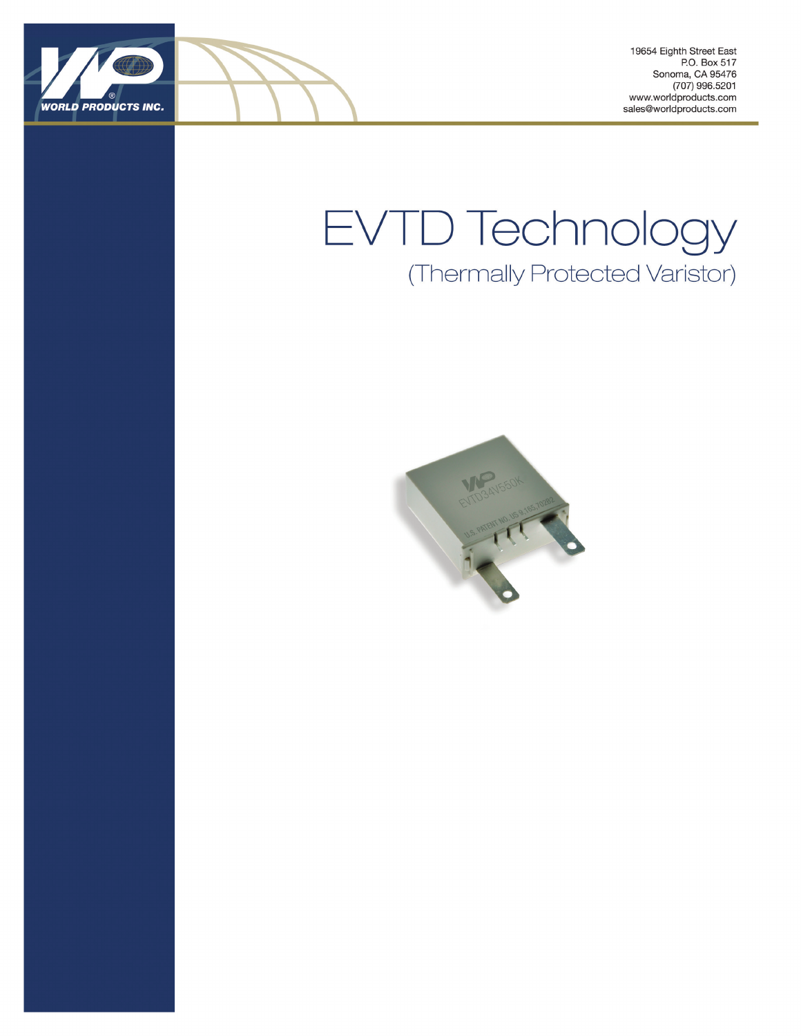

19654 Eighth Street East P.O. Box 517 Sonoma, CA 95476 (707) 996.5201 www.worldproducts.com sales@worldproducts.com

# EVTD Technology (Thermally Protected Varistor)

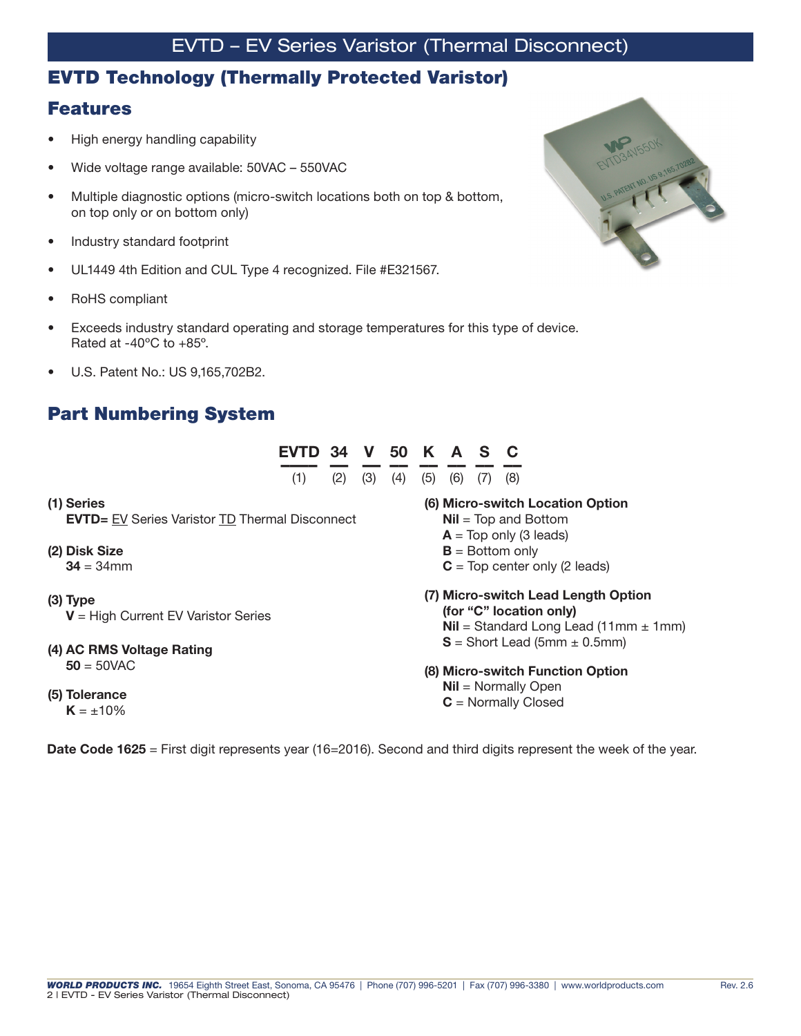#### EVTD Technology (Thermally Protected Varistor)

#### Features

- High energy handling capability
- Wide voltage range available: 50VAC 550VAC
- Multiple diagnostic options (micro-switch locations both on top & bottom, on top only or on bottom only)
- Industry standard footprint
- UL1449 4th Edition and CUL Type 4 recognized. File #E321567.
- RoHS compliant

- Exceeds industry standard operating and storage temperatures for this type of device. Rated at -40ºC to +85º.
- U.S. Patent No.: US 9,165,702B2.

#### Part Numbering System

|                                                                      | <b>EVTD 34 V 50 K</b><br>(1) | (2) | (3) | (4) | (5) | A<br>(6) | S | $\mathbf C$<br>(8)                             |                                                    |                                                                        |                                                  |
|----------------------------------------------------------------------|------------------------------|-----|-----|-----|-----|----------|---|------------------------------------------------|----------------------------------------------------|------------------------------------------------------------------------|--------------------------------------------------|
| (1) Series<br><b>EVTD</b> = EV Series Varistor TD Thermal Disconnect |                              |     |     |     |     |          |   |                                                | $Nil = Top$ and Bottom<br>$A = Top only (3 leads)$ | (6) Micro-switch Location Option                                       |                                                  |
| (2) Disk Size<br>$34 = 34$ mm                                        |                              |     |     |     |     |          |   | $B =$ Bottom only                              |                                                    | $C = Top center only (2 leads)$                                        |                                                  |
| $(3)$ Type<br>$V = High Current EV Variant$ Series                   |                              |     |     |     |     |          |   |                                                | (for "C" location only)                            | (7) Micro-switch Lead Length Option                                    | <b>Nil</b> = Standard Long Lead (11mm $\pm$ 1mm) |
| (4) AC RMS Voltage Rating<br>$50 = 50$ VAC                           |                              |     |     |     |     |          |   |                                                |                                                    | $S =$ Short Lead (5mm $\pm$ 0.5mm)<br>(8) Micro-switch Function Option |                                                  |
| (5) Tolerance<br>$K = +10\%$                                         |                              |     |     |     |     |          |   | $Nil = Normally Open$<br>$C =$ Normally Closed |                                                    |                                                                        |                                                  |

Date Code 1625 = First digit represents year (16=2016). Second and third digits represent the week of the year.

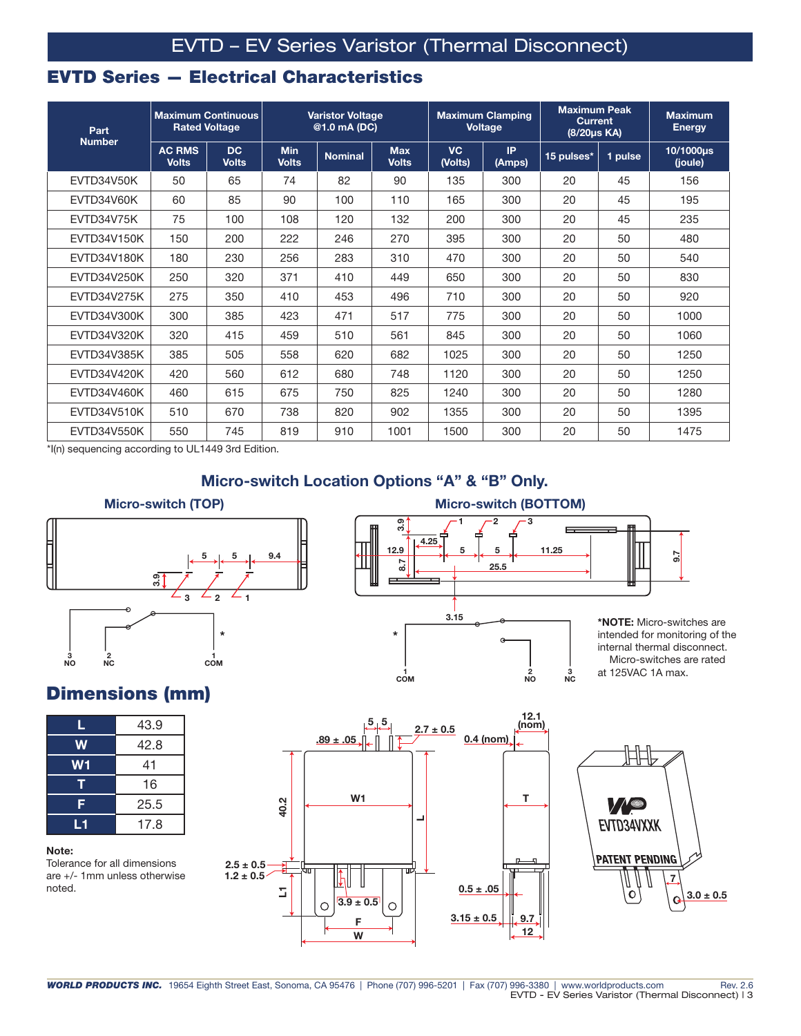### EVTD Series — Electrical Characteristics

| Part<br><b>Number</b> | <b>Maximum Continuous</b><br><b>Rated Voltage</b> |                           | <b>Varistor Voltage</b><br>@1.0 mA (DC) |                |                            |                      | <b>Maximum Clamping</b><br><b>Voltage</b> | <b>Maximum Peak</b><br><b>Current</b><br>(8/20µs KA) |         | <b>Maximum</b><br><b>Energy</b> |
|-----------------------|---------------------------------------------------|---------------------------|-----------------------------------------|----------------|----------------------------|----------------------|-------------------------------------------|------------------------------------------------------|---------|---------------------------------|
|                       | <b>AC RMS</b><br><b>Volts</b>                     | <b>DC</b><br><b>Volts</b> | <b>Min</b><br><b>Volts</b>              | <b>Nominal</b> | <b>Max</b><br><b>Volts</b> | <b>VC</b><br>(Volts) | <b>IP</b><br>(Amps)                       | 15 pulses*                                           | 1 pulse | 10/1000us<br>(joule)            |
| EVTD34V50K            | 50                                                | 65                        | 74                                      | 82             | 90                         | 135                  | 300                                       | 20                                                   | 45      | 156                             |
| EVTD34V60K            | 60                                                | 85                        | 90                                      | 100            | 110                        | 165                  | 300                                       | 20                                                   | 45      | 195                             |
| EVTD34V75K            | 75                                                | 100                       | 108                                     | 120            | 132                        | 200                  | 300                                       | 20                                                   | 45      | 235                             |
| <b>EVTD34V150K</b>    | 150                                               | 200                       | 222                                     | 246            | 270                        | 395                  | 300                                       | 20                                                   | 50      | 480                             |
| <b>EVTD34V180K</b>    | 180                                               | 230                       | 256                                     | 283            | 310                        | 470                  | 300                                       | 20                                                   | 50      | 540                             |
| <b>EVTD34V250K</b>    | 250                                               | 320                       | 371                                     | 410            | 449                        | 650                  | 300                                       | 20                                                   | 50      | 830                             |
| <b>EVTD34V275K</b>    | 275                                               | 350                       | 410                                     | 453            | 496                        | 710                  | 300                                       | 20                                                   | 50      | 920                             |
| <b>EVTD34V300K</b>    | 300                                               | 385                       | 423                                     | 471            | 517                        | 775                  | 300                                       | 20                                                   | 50      | 1000                            |
| <b>EVTD34V320K</b>    | 320                                               | 415                       | 459                                     | 510            | 561                        | 845                  | 300                                       | 20                                                   | 50      | 1060                            |
| <b>EVTD34V385K</b>    | 385                                               | 505                       | 558                                     | 620            | 682                        | 1025                 | 300                                       | 20                                                   | 50      | 1250                            |
| EVTD34V420K           | 420                                               | 560                       | 612                                     | 680            | 748                        | 1120                 | 300                                       | 20                                                   | 50      | 1250                            |
| <b>EVTD34V460K</b>    | 460                                               | 615                       | 675                                     | 750            | 825                        | 1240                 | 300                                       | 20                                                   | 50      | 1280                            |
| EVTD34V510K           | 510                                               | 670                       | 738                                     | 820            | 902                        | 1355                 | 300                                       | 20                                                   | 50      | 1395                            |
| <b>EVTD34V550K</b>    | 550                                               | 745                       | 819                                     | 910            | 1001                       | 1500                 | 300                                       | 20                                                   | 50      | 1475                            |

\*I(n) sequencing according to UL1449 3rd Edition.

#### Micro-switch Location Options "A" & "B" Only.





\*NOTE: Micro-switches are intended for monitoring of the internal thermal disconnect. Micro-switches are rated at 125VAC 1A max.

9.7

#### Dimensions (mm)

| L  | 43.9 |  |  |  |  |
|----|------|--|--|--|--|
| W  | 42.8 |  |  |  |  |
| W1 | 41   |  |  |  |  |
| т  | 16   |  |  |  |  |
| F  | 25.5 |  |  |  |  |
| L1 | 17.8 |  |  |  |  |

#### Note:

Tolerance for all dimensions are +/- 1mm unless otherwise noted.